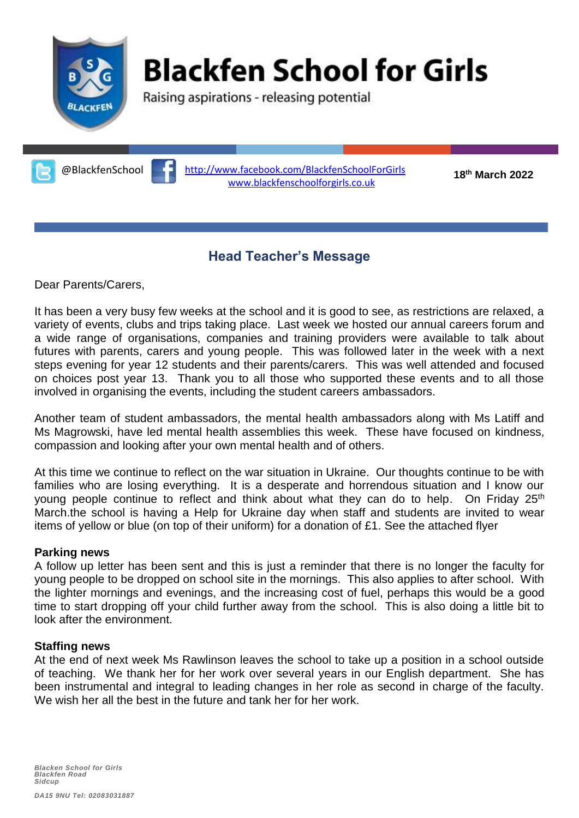

# **Blackfen School for Girls**

Raising aspirations - releasing potential

**<sup>18</sup>** @BlackfenSchool **th March 2022** <http://www.facebook.com/BlackfenSchoolForGirls> [www.blackfenschoolforgirls.co.uk](http://www.blackfenschoolforgirls.co.uk/)

## **Head Teacher's Message**

Dear Parents/Carers,

It has been a very busy few weeks at the school and it is good to see, as restrictions are relaxed, a variety of events, clubs and trips taking place. Last week we hosted our annual careers forum and a wide range of organisations, companies and training providers were available to talk about futures with parents, carers and young people. This was followed later in the week with a next steps evening for year 12 students and their parents/carers. This was well attended and focused on choices post year 13. Thank you to all those who supported these events and to all those involved in organising the events, including the student careers ambassadors.

Another team of student ambassadors, the mental health ambassadors along with Ms Latiff and Ms Magrowski, have led mental health assemblies this week. These have focused on kindness, compassion and looking after your own mental health and of others.

At this time we continue to reflect on the war situation in Ukraine. Our thoughts continue to be with families who are losing everything. It is a desperate and horrendous situation and I know our young people continue to reflect and think about what they can do to help. On Friday 25<sup>th</sup> March.the school is having a Help for Ukraine day when staff and students are invited to wear items of yellow or blue (on top of their uniform) for a donation of £1. See the attached flyer

#### **Parking news**

A follow up letter has been sent and this is just a reminder that there is no longer the faculty for young people to be dropped on school site in the mornings. This also applies to after school. With the lighter mornings and evenings, and the increasing cost of fuel, perhaps this would be a good time to start dropping off your child further away from the school. This is also doing a little bit to look after the environment.

#### **Staffing news**

At the end of next week Ms Rawlinson leaves the school to take up a position in a school outside of teaching. We thank her for her work over several years in our English department. She has been instrumental and integral to leading changes in her role as second in charge of the faculty. We wish her all the best in the future and tank her for her work.

*Blacken School for Girls Blackfen Road Sidcup*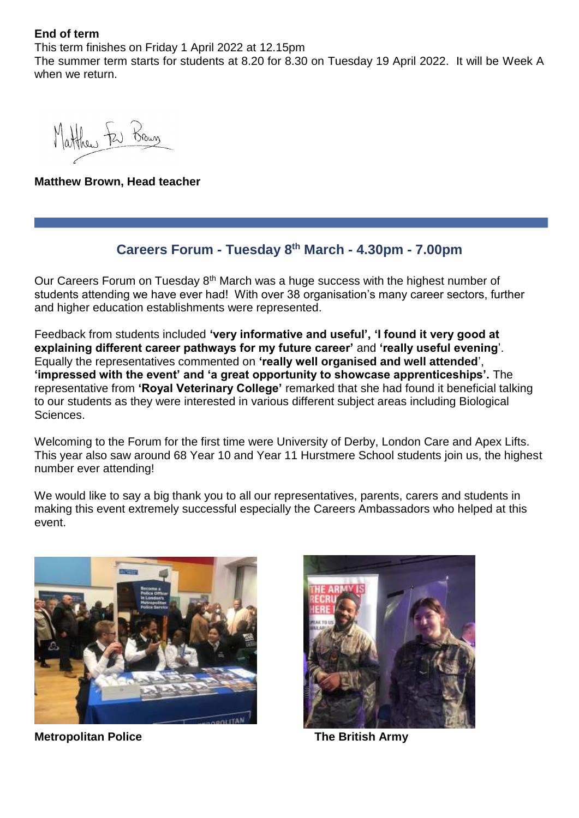**End of term**

This term finishes on Friday 1 April 2022 at 12.15pm The summer term starts for students at 8.20 for 8.30 on Tuesday 19 April 2022. It will be Week A when we return.

Matthew ter Brown

**Matthew Brown, Head teacher**

#### **Careers Forum - Tuesday 8th March - 4.30pm - 7.00pm**

Our Careers Forum on Tuesday  $8<sup>th</sup>$  March was a huge success with the highest number of students attending we have ever had! With over 38 organisation's many career sectors, further and higher education establishments were represented.

Feedback from students included **'very informative and useful', 'I found it very good at explaining different career pathways for my future career'** and **'really useful evening**'. Equally the representatives commented on **'really well organised and well attended**', **'impressed with the event' and 'a great opportunity to showcase apprenticeships'.** The representative from **'Royal Veterinary College'** remarked that she had found it beneficial talking to our students as they were interested in various different subject areas including Biological Sciences.

Welcoming to the Forum for the first time were University of Derby, London Care and Apex Lifts. This year also saw around 68 Year 10 and Year 11 Hurstmere School students join us, the highest number ever attending!

We would like to say a big thank you to all our representatives, parents, carers and students in making this event extremely successful especially the Careers Ambassadors who helped at this event.



**Metropolitan Police The British Army**

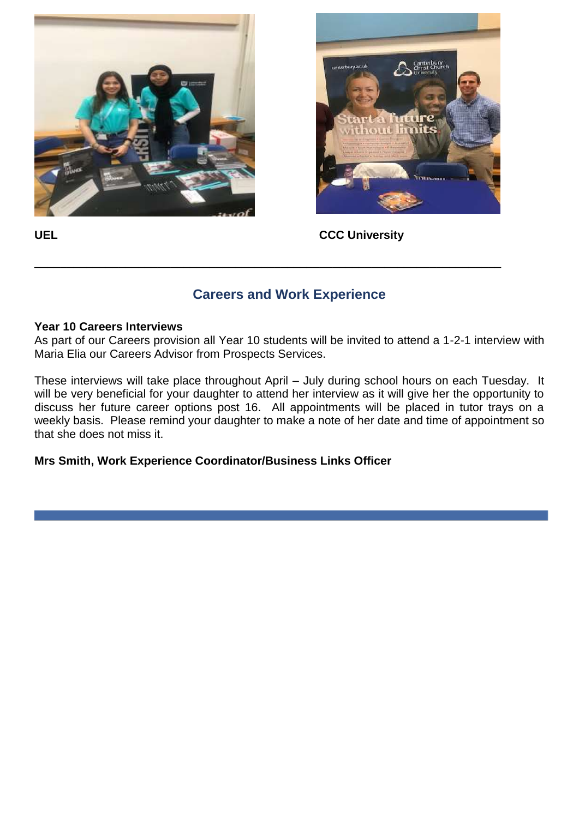



UEL **UEL CCC** University

### **Careers and Work Experience**

\_\_\_\_\_\_\_\_\_\_\_\_\_\_\_\_\_\_\_\_\_\_\_\_\_\_\_\_\_\_\_\_\_\_\_\_\_\_\_\_\_\_\_\_\_\_\_\_\_\_\_\_\_\_\_\_\_\_\_\_\_\_\_\_\_\_\_\_\_\_\_\_

#### **Year 10 Careers Interviews**

As part of our Careers provision all Year 10 students will be invited to attend a 1-2-1 interview with Maria Elia our Careers Advisor from Prospects Services.

These interviews will take place throughout April – July during school hours on each Tuesday. It will be very beneficial for your daughter to attend her interview as it will give her the opportunity to discuss her future career options post 16. All appointments will be placed in tutor trays on a weekly basis. Please remind your daughter to make a note of her date and time of appointment so that she does not miss it.

**Mrs Smith, Work Experience Coordinator/Business Links Officer**